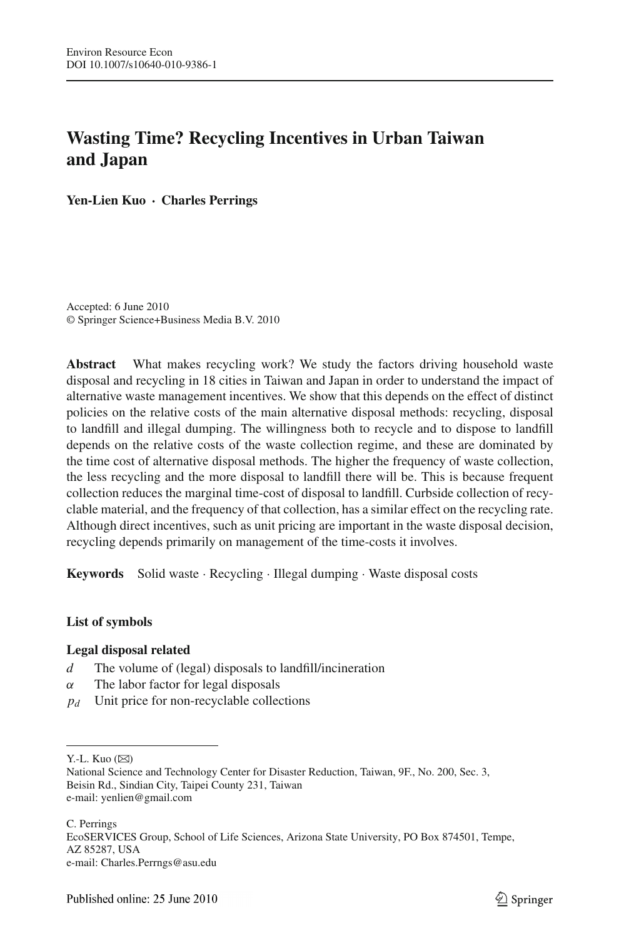# **Wasting Time? Recycling Incentives in Urban Taiwan and Japan**

**Yen-Lien Kuo** · **Charles Perrings**

Accepted: 6 June 2010 © Springer Science+Business Media B.V. 2010

**Abstract** What makes recycling work? We study the factors driving household waste disposal and recycling in 18 cities in Taiwan and Japan in order to understand the impact of alternative waste management incentives. We show that this depends on the effect of distinct policies on the relative costs of the main alternative disposal methods: recycling, disposal to landfill and illegal dumping. The willingness both to recycle and to dispose to landfill depends on the relative costs of the waste collection regime, and these are dominated by the time cost of alternative disposal methods. The higher the frequency of waste collection, the less recycling and the more disposal to landfill there will be. This is because frequent collection reduces the marginal time-cost of disposal to landfill. Curbside collection of recyclable material, and the frequency of that collection, has a similar effect on the recycling rate. Although direct incentives, such as unit pricing are important in the waste disposal decision, recycling depends primarily on management of the time-costs it involves.

**Keywords** Solid waste · Recycling · Illegal dumping · Waste disposal costs

### **List of symbols**

### **Legal disposal related**

- *d* The volume of (legal) disposals to landfill/incineration
- $\alpha$  The labor factor for legal disposals
- *pd* Unit price for non-recyclable collections

Y.-L. Kuo  $(\boxtimes)$ 

C. Perrings EcoSERVICES Group, School of Life Sciences, Arizona State University, PO Box 874501, Tempe, AZ 85287, USA e-mail: Charles.Perrngs@asu.edu

National Science and Technology Center for Disaster Reduction, Taiwan, 9F., No. 200, Sec. 3, Beisin Rd., Sindian City, Taipei County 231, Taiwan e-mail: yenlien@gmail.com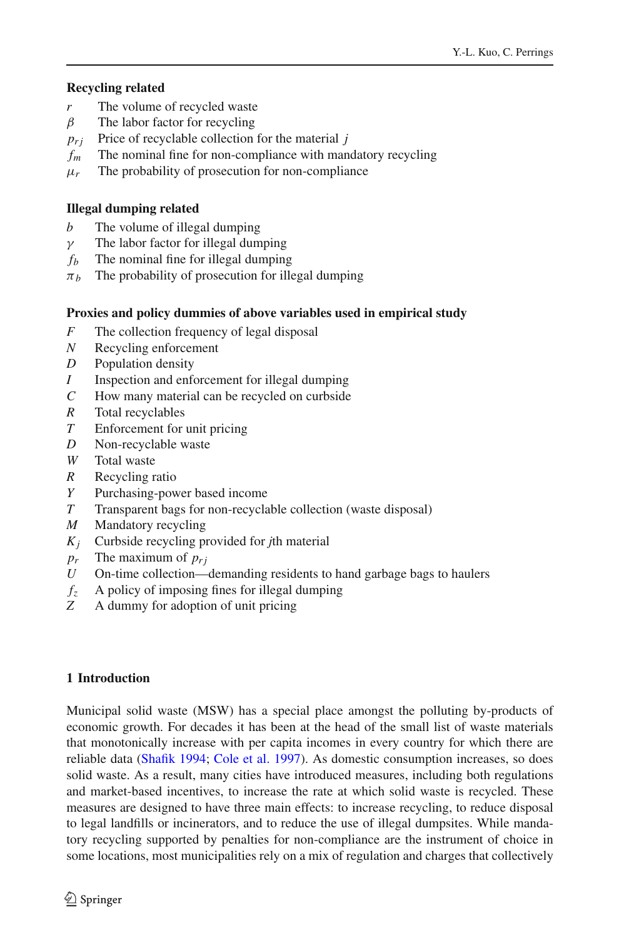# **Recycling related**

- *r* The volume of recycled waste
- $\beta$  The labor factor for recycling
- $p_{ri}$  Price of recyclable collection for the material *j*
- *fm* The nominal fine for non-compliance with mandatory recycling
- $\mu_r$  The probability of prosecution for non-compliance

# **Illegal dumping related**

- *b* The volume of illegal dumping
- $\gamma$  The labor factor for illegal dumping
- $f<sub>b</sub>$  The nominal fine for illegal dumping
- $\pi_b$  The probability of prosecution for illegal dumping

# **Proxies and policy dummies of above variables used in empirical study**

- *F* The collection frequency of legal disposal
- *N* Recycling enforcement
- *D* Population density
- *I* Inspection and enforcement for illegal dumping
- *C* How many material can be recycled on curbside
- *R* Total recyclables
- *T* Enforcement for unit pricing
- *D* Non-recyclable waste
- *W* Total waste
- *R* Recycling ratio
- *Y* Purchasing-power based income
- *T* Transparent bags for non-recyclable collection (waste disposal)
- *M* Mandatory recycling
- *Kj* Curbside recycling provided for *j*th material
- $p_r$  The maximum of  $p_{ri}$
- *U* On-time collection—demanding residents to hand garbage bags to haulers
- $f_z$  A policy of imposing fines for illegal dumping<br>  $\overline{z}$  A dummy for adoption of unit pricing
- *Z* A dummy for adoption of unit pricing

# **1 Introduction**

Municipal solid waste (MSW) has a special place amongst the polluting by-products of economic growth. For decades it has been at the head of the small list of waste materials that monotonically increase with per capita incomes in every country for which there are reliable data [\(Shafik 1994](#page-14-0); [Cole et al. 1997\)](#page-13-0). As domestic consumption increases, so does solid waste. As a result, many cities have introduced measures, including both regulations and market-based incentives, to increase the rate at which solid waste is recycled. These measures are designed to have three main effects: to increase recycling, to reduce disposal to legal landfills or incinerators, and to reduce the use of illegal dumpsites. While mandatory recycling supported by penalties for non-compliance are the instrument of choice in some locations, most municipalities rely on a mix of regulation and charges that collectively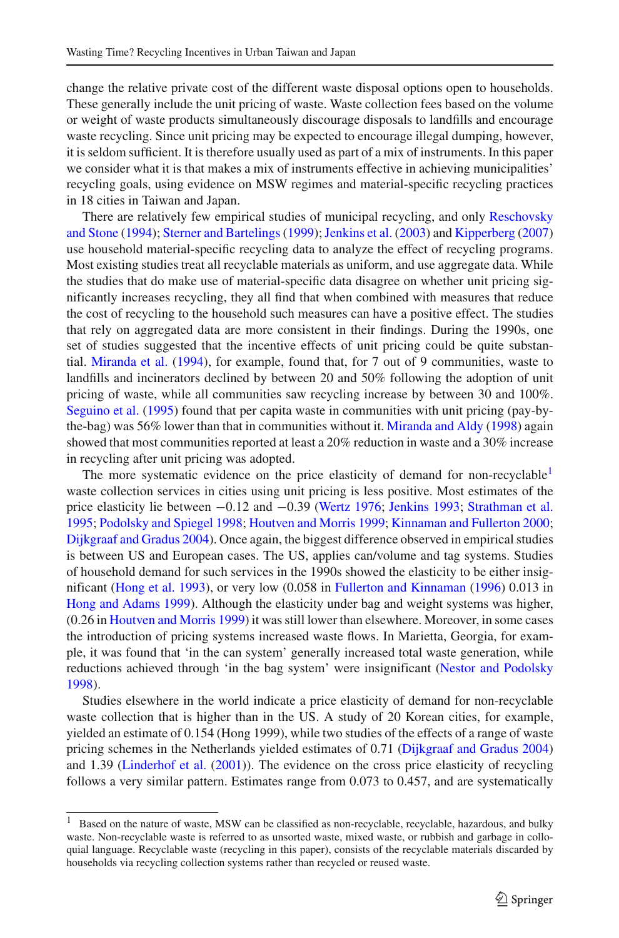change the relative private cost of the different waste disposal options open to households. These generally include the unit pricing of waste. Waste collection fees based on the volume or weight of waste products simultaneously discourage disposals to landfills and encourage waste recycling. Since unit pricing may be expected to encourage illegal dumping, however, it is seldom sufficient. It is therefore usually used as part of a mix of instruments. In this paper we consider what it is that makes a mix of instruments effective in achieving municipalities' recycling goals, using evidence on MSW regimes and material-specific recycling practices in 18 cities in Taiwan and Japan.

There [are relatively few empirical studies of municipal recycling, and only](#page-14-2) Reschovsky and Stone [\(1994](#page-14-2)); Sterner and Bartelings (1999); [Jenkins et al.](#page-14-4) [\(2003\)](#page-14-4) and [Kipperberg](#page-14-5) [\(2007\)](#page-14-5) use household material-specific recycling data to analyze the effect of recycling programs. Most existing studies treat all recyclable materials as uniform, and use aggregate data. While the studies that do make use of material-specific data disagree on whether unit pricing significantly increases recycling, they all find that when combined with measures that reduce the cost of recycling to the household such measures can have a positive effect. The studies that rely on aggregated data are more consistent in their findings. During the 1990s, one set of studies suggested that the incentive effects of unit pricing could be quite substantial. [Miranda et al.](#page-14-6) [\(1994\)](#page-14-6), for example, found that, for 7 out of 9 communities, waste to landfills and incinerators declined by between 20 and 50% following the adoption of unit pricing of waste, while all communities saw recycling increase by between 30 and 100%. [Seguino et al.](#page-14-7) [\(1995](#page-14-7)) found that per capita waste in communities with unit pricing (pay-bythe-bag) was 56% lower than that in communities without it. [Miranda and Aldy](#page-14-8) [\(1998](#page-14-8)) again showed that most communities reported at least a 20% reduction in waste and a 30% increase in recycling after unit pricing was adopted.

The more systematic evidence on the price elasticity of demand for non-recyclable<sup>[1](#page-2-0)</sup> waste collection services in cities using unit pricing is less positive. Most estimates of the price elasticity lie between −0.12 and −0.39 [\(Wertz 1976;](#page-14-9) [Jenkins 1993;](#page-14-10) [Strathman et al.](#page-14-11) [1995](#page-14-11); [Podolsky and Spiegel 1998](#page-14-12); [Houtven and Morris 1999](#page-14-13); [Kinnaman and Fullerton 2000](#page-14-14); [Dijkgraaf and Gradus 2004\)](#page-13-1). Once again, the biggest difference observed in empirical studies is between US and European cases. The US, applies can/volume and tag systems. Studies of household demand for such services in the 1990s showed the elasticity to be either insignificant [\(Hong et al. 1993\)](#page-14-15), or very low (0.058 in [Fullerton and Kinnaman](#page-13-2) [\(1996\)](#page-13-2) 0.013 in [Hong and Adams 1999](#page-13-3)). Although the elasticity under bag and weight systems was higher, (0.26 in [Houtven and Morris 1999\)](#page-14-13) it was still lower than elsewhere. Moreover, in some cases the introduction of pricing systems increased waste flows. In Marietta, Georgia, for example, it was found that 'in the can system' generally increased total waste generation, while reductions achieved through 'in the bag system' were insignificant [\(Nestor and Podolsky](#page-14-16) [1998](#page-14-16)).

Studies elsewhere in the world indicate a price elasticity of demand for non-recyclable waste collection that is higher than in the US. A study of 20 Korean cities, for example, yielded an estimate of 0.154 (Hong 1999), while two studies of the effects of a range of waste pricing schemes in the Netherlands yielded estimates of 0.71 [\(Dijkgraaf and Gradus 2004\)](#page-13-1) and 1.39 [\(Linderhof et al.](#page-14-1) [\(2001\)](#page-14-1)). The evidence on the cross price elasticity of recycling follows a very similar pattern. Estimates range from 0.073 to 0.457, and are systematically

<span id="page-2-0"></span><sup>&</sup>lt;sup>1</sup> Based on the nature of waste, MSW can be classified as non-recyclable, recyclable, hazardous, and bulky waste. Non-recyclable waste is referred to as unsorted waste, mixed waste, or rubbish and garbage in colloquial language. Recyclable waste (recycling in this paper), consists of the recyclable materials discarded by households via recycling collection systems rather than recycled or reused waste.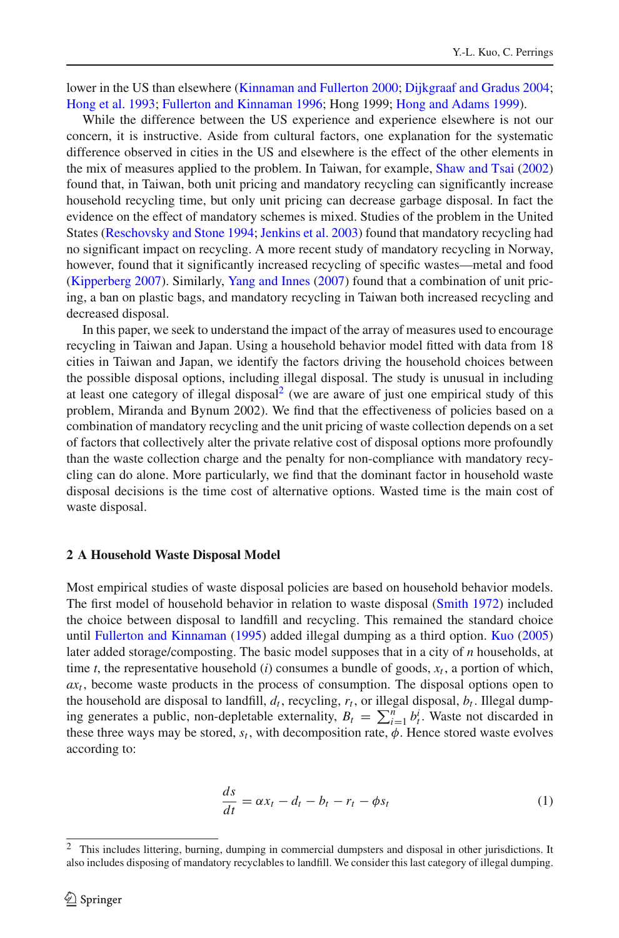lower in the US than elsewhere [\(Kinnaman and Fullerton 2000;](#page-14-14) [Dijkgraaf and Gradus 2004](#page-13-1); [Hong et al. 1993](#page-14-15); [Fullerton and Kinnaman 1996](#page-13-2); Hong 1999; [Hong and Adams 1999\)](#page-13-3).

While the difference between the US experience and experience elsewhere is not our concern, it is instructive. Aside from cultural factors, one explanation for the systematic difference observed in cities in the US and elsewhere is the effect of the other elements in the mix of measures applied to the problem. In Taiwan, for example, [Shaw and Tsai](#page-14-18) [\(2002\)](#page-14-18) found that, in Taiwan, both unit pricing and mandatory recycling can significantly increase household recycling time, but only unit pricing can decrease garbage disposal. In fact the evidence on the effect of mandatory schemes is mixed. Studies of the problem in the United States [\(Reschovsky and Stone 1994;](#page-14-2) [Jenkins et al. 2003](#page-14-4)) found that mandatory recycling had no significant impact on recycling. A more recent study of mandatory recycling in Norway, however, found that it significantly increased recycling of specific wastes—metal and food [\(Kipperberg 2007\)](#page-14-5). Similarly, [Yang and Innes](#page-14-19) [\(2007\)](#page-14-19) found that a combination of unit pricing, a ban on plastic bags, and mandatory recycling in Taiwan both increased recycling and decreased disposal.

In this paper, we seek to understand the impact of the array of measures used to encourage recycling in Taiwan and Japan. Using a household behavior model fitted with data from 18 cities in Taiwan and Japan, we identify the factors driving the household choices between the possible disposal options, including illegal disposal. The study is unusual in including at least one category of illegal disposal<sup>2</sup> (we are aware of just one empirical study of this problem, Miranda and Bynum 2002). We find that the effectiveness of policies based on a combination of mandatory recycling and the unit pricing of waste collection depends on a set of factors that collectively alter the private relative cost of disposal options more profoundly than the waste collection charge and the penalty for non-compliance with mandatory recycling can do alone. More particularly, we find that the dominant factor in household waste disposal decisions is the time cost of alternative options. Wasted time is the main cost of waste disposal.

#### **2 A Household Waste Disposal Model**

Most empirical studies of waste disposal policies are based on household behavior models. The first model of household behavior in relation to waste disposal [\(Smith 1972](#page-14-20)) included the choice between disposal to landfill and recycling. This remained the standard choice until [Fullerton and Kinnaman](#page-13-4) [\(1995](#page-13-4)) added illegal dumping as a third option. [Kuo](#page-14-17) [\(2005\)](#page-14-17) later added storage/composting. The basic model supposes that in a city of *n* households, at time *t*, the representative household (*i*) consumes a bundle of goods,  $x_t$ , a portion of which,  $ax<sub>t</sub>$ , become waste products in the process of consumption. The disposal options open to the household are disposal to landfill,  $d_t$ , recycling,  $r_t$ , or illegal disposal,  $b_t$ . Illegal dumping generates a public, non-depletable externality,  $B_t = \sum_{i=1}^n b_i^i$ . Waste not discarded in these three ways may be stored,  $s_t$ , with decomposition rate,  $\phi$ . Hence stored waste evolves according to:

$$
\frac{ds}{dt} = \alpha x_t - d_t - b_t - r_t - \phi s_t \tag{1}
$$

<span id="page-3-1"></span><span id="page-3-0"></span><sup>2</sup> This includes littering, burning, dumping in commercial dumpsters and disposal in other jurisdictions. It also includes disposing of mandatory recyclables to landfill. We consider this last category of illegal dumping.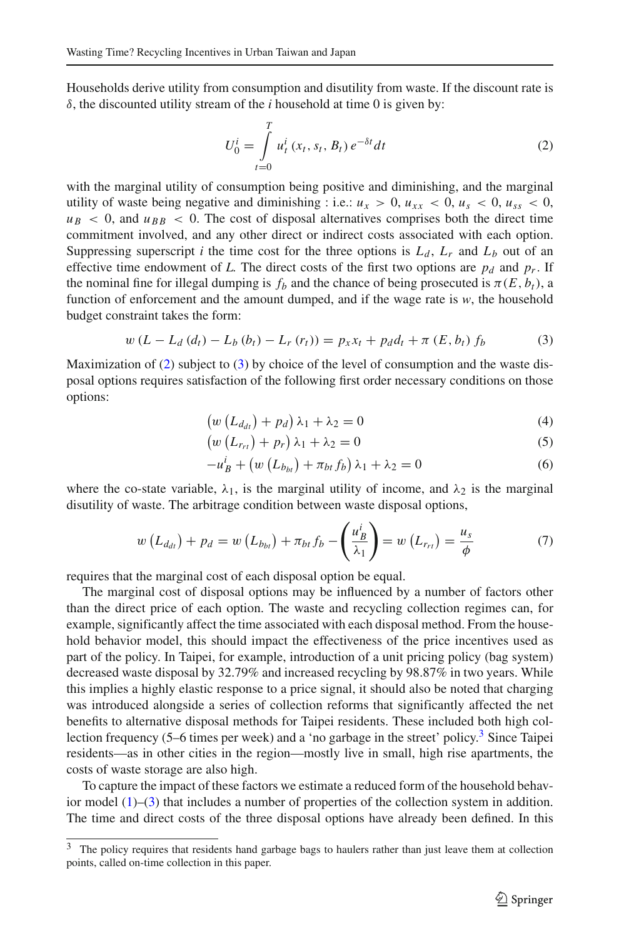Households derive utility from consumption and disutility from waste. If the discount rate is  $\delta$ , the discounted utility stream of the *i* household at time 0 is given by:

$$
U_0^i = \int\limits_{t=0}^T u_t^i(x_t, s_t, B_t) e^{-\delta t} dt
$$
 (2)

<span id="page-4-1"></span>with the marginal utility of consumption being positive and diminishing, and the marginal utility of waste being negative and diminishing : i.e.:  $u_x > 0$ ,  $u_{xx} < 0$ ,  $u_s < 0$ ,  $u_{ss} < 0$ ,  $u_B < 0$ , and  $u_{BB} < 0$ . The cost of disposal alternatives comprises both the direct time commitment involved, and any other direct or indirect costs associated with each option. Suppressing superscript *i* the time cost for the three options is  $L_d$ ,  $L_r$  and  $L_b$  out of an effective time endowment of L. The direct costs of the first two options are  $p_d$  and  $p_r$ . If the nominal fine for illegal dumping is  $f_b$  and the chance of being prosecuted is  $\pi(E, b_t)$ , a function of enforcement and the amount dumped, and if the wage rate is *w*, the household budget constraint takes the form:

$$
w (L - L_d (d_t) - L_b (b_t) - L_r (r_t)) = p_x x_t + p_d d_t + \pi (E, b_t) f_b \tag{3}
$$

<span id="page-4-0"></span>Maximization of  $(2)$  subject to  $(3)$  by choice of the level of consumption and the waste disposal options requires satisfaction of the following first order necessary conditions on those options:

$$
\left(w\left(L_{d_{dt}}\right)+p_{d}\right)\lambda_{1}+\lambda_{2}=0\tag{4}
$$

$$
\left(w\left(L_{r_{rt}}\right)+p_r\right)\lambda_1+\lambda_2=0\tag{5}
$$

$$
-u_B^i + \left(w\left(L_{b_{bt}}\right) + \pi_{bt}f_b\right)\lambda_1 + \lambda_2 = 0\tag{6}
$$

where the co-state variable,  $\lambda_1$ , is the marginal utility of income, and  $\lambda_2$  is the marginal disutility of waste. The arbitrage condition between waste disposal options,

$$
w\left(L_{d_{dt}}\right) + p_d = w\left(L_{b_{bt}}\right) + \pi_{bt}f_b - \left(\frac{u_B^i}{\lambda_1}\right) = w\left(L_{r_{rt}}\right) = \frac{u_s}{\phi} \tag{7}
$$

requires that the marginal cost of each disposal option be equal.

The marginal cost of disposal options may be influenced by a number of factors other than the direct price of each option. The waste and recycling collection regimes can, for example, significantly affect the time associated with each disposal method. From the household behavior model, this should impact the effectiveness of the price incentives used as part of the policy. In Taipei, for example, introduction of a unit pricing policy (bag system) decreased waste disposal by 32.79% and increased recycling by 98.87% in two years. While this implies a highly elastic response to a price signal, it should also be noted that charging was introduced alongside a series of collection reforms that significantly affected the net benefits to alternative disposal methods for Taipei residents. These included both high collection frequency (5–6 times per week) and a 'no garbage in the street' policy.<sup>3</sup> Since Taipei residents—as in other cities in the region—mostly live in small, high rise apartments, the costs of waste storage are also high.

To capture the impact of these factors we estimate a reduced form of the household behavior model [\(1\)](#page-3-1)–[\(3\)](#page-4-0) that includes a number of properties of the collection system in addition. The time and direct costs of the three disposal options have already been defined. In this

<span id="page-4-2"></span>The policy requires that residents hand garbage bags to haulers rather than just leave them at collection points, called on-time collection in this paper.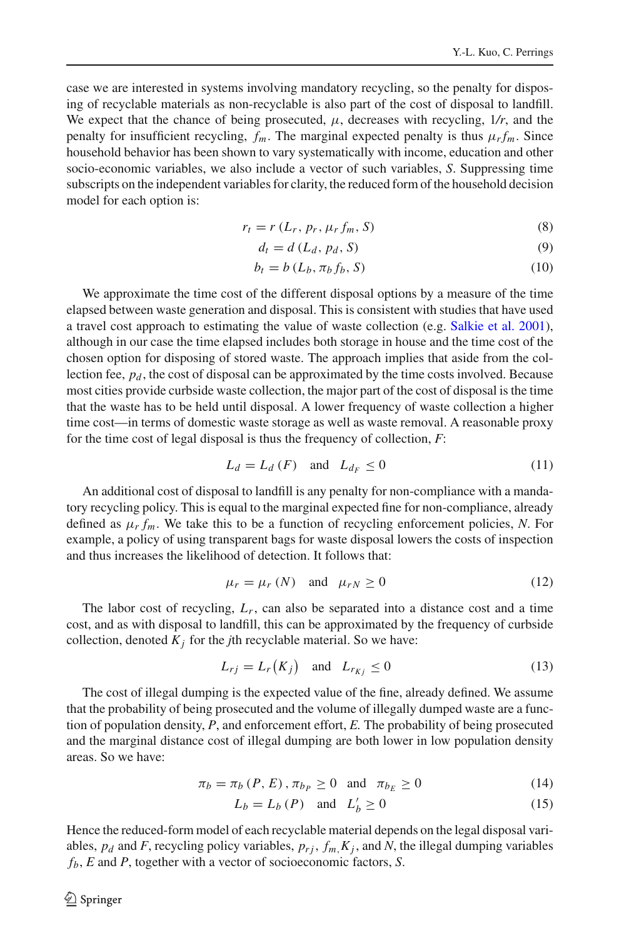case we are interested in systems involving mandatory recycling, so the penalty for disposing of recyclable materials as non-recyclable is also part of the cost of disposal to landfill. We expect that the chance of being prosecuted,  $\mu$ , decreases with recycling,  $1/r$ , and the penalty for insufficient recycling,  $f_m$ . The marginal expected penalty is thus  $\mu_r f_m$ . Since household behavior has been shown to vary systematically with income, education and other socio-economic variables, we also include a vector of such variables, *S*. Suppressing time subscripts on the independent variables for clarity, the reduced form of the household decision model for each option is:

$$
r_t = r(L_r, p_r, \mu_r f_m, S) \tag{8}
$$

$$
d_t = d(L_d, p_d, S) \tag{9}
$$

$$
b_t = b(L_b, \pi_b f_b, S) \tag{10}
$$

We approximate the time cost of the different disposal options by a measure of the time elapsed between waste generation and disposal. This is consistent with studies that have used a travel cost approach to estimating the value of waste collection (e.g. [Salkie et al. 2001\)](#page-14-21), although in our case the time elapsed includes both storage in house and the time cost of the chosen option for disposing of stored waste. The approach implies that aside from the collection fee,  $p_d$ , the cost of disposal can be approximated by the time costs involved. Because most cities provide curbside waste collection, the major part of the cost of disposal is the time that the waste has to be held until disposal. A lower frequency of waste collection a higher time cost—in terms of domestic waste storage as well as waste removal. A reasonable proxy for the time cost of legal disposal is thus the frequency of collection, *F*:

$$
L_d = L_d(F) \quad \text{and} \quad L_{d_F} \le 0 \tag{11}
$$

An additional cost of disposal to landfill is any penalty for non-compliance with a mandatory recycling policy. This is equal to the marginal expected fine for non-compliance, already defined as  $\mu_r f_m$ . We take this to be a function of recycling enforcement policies, *N*. For example, a policy of using transparent bags for waste disposal lowers the costs of inspection and thus increases the likelihood of detection. It follows that:

$$
\mu_r = \mu_r \ (N) \quad \text{and} \quad \mu_{rN} \ge 0 \tag{12}
$$

The labor cost of recycling,  $L_r$ , can also be separated into a distance cost and a time cost, and as with disposal to landfill, this can be approximated by the frequency of curbside collection, denoted  $K_j$  for the *j*th recyclable material. So we have:

$$
L_{rj} = L_r(K_j) \quad \text{and} \quad L_{r_{Kj}} \le 0 \tag{13}
$$

The cost of illegal dumping is the expected value of the fine, already defined. We assume that the probability of being prosecuted and the volume of illegally dumped waste are a function of population density, *P*, and enforcement effort, *E.* The probability of being prosecuted and the marginal distance cost of illegal dumping are both lower in low population density areas. So we have:

$$
\pi_b = \pi_b(P, E), \pi_{b_P} \ge 0 \quad \text{and} \quad \pi_{b_E} \ge 0 \tag{14}
$$

$$
L_b = L_b(P) \quad \text{and} \quad L'_b \ge 0 \tag{15}
$$

Hence the reduced-form model of each recyclable material depends on the legal disposal variables,  $p_d$  and *F*, recycling policy variables,  $p_{rj}$ ,  $f_m$ ,  $K_j$ , and *N*, the illegal dumping variables *fb*, *E* and *P*, together with a vector of socioeconomic factors, *S*.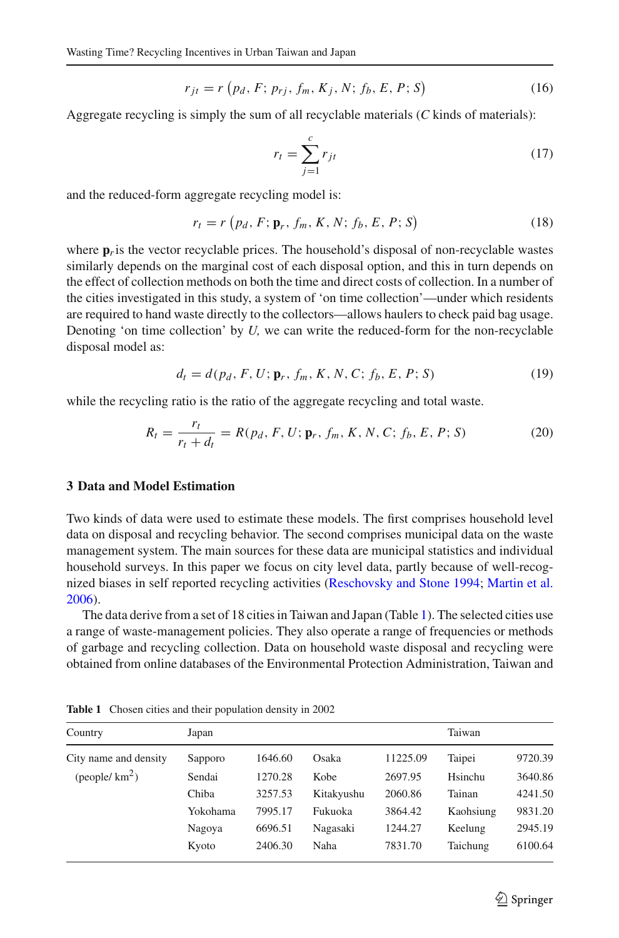$$
r_{jt} = r(p_d, F; p_{rj}, f_m, K_j, N; f_b, E, P; S)
$$
 (16)

Aggregate recycling is simply the sum of all recyclable materials (*C* kinds of materials):

$$
r_t = \sum_{j=1}^{c} r_{jt} \tag{17}
$$

and the reduced-form aggregate recycling model is:

$$
r_t = r \left( p_d, F; \mathbf{p}_r, f_m, K, N; f_b, E, P; S \right)
$$
 (18)

where  $\mathbf{p}_r$  is the vector recyclable prices. The household's disposal of non-recyclable wastes similarly depends on the marginal cost of each disposal option, and this in turn depends on the effect of collection methods on both the time and direct costs of collection. In a number of the cities investigated in this study, a system of 'on time collection'—under which residents are required to hand waste directly to the collectors—allows haulers to check paid bag usage. Denoting 'on time collection' by *U,* we can write the reduced-form for the non-recyclable disposal model as:

$$
d_t = d(p_d, F, U; \mathbf{p}_r, f_m, K, N, C; f_b, E, P; S)
$$
\n(19)

while the recycling ratio is the ratio of the aggregate recycling and total waste.

$$
R_t = \frac{r_t}{r_t + d_t} = R(p_d, F, U; \mathbf{p}_r, f_m, K, N, C; f_b, E, P; S)
$$
 (20)

### **3 Data and Model Estimation**

Two kinds of data were used to estimate these models. The first comprises household level data on disposal and recycling behavior. The second comprises municipal data on the waste management system. The main sources for these data are municipal statistics and individual household surveys. In this paper we focus on city level data, partly because of well-recognized biases in self reported recycling activities [\(Reschovsky and Stone 1994;](#page-14-2) [Martin et al.](#page-14-22) [2006](#page-14-22)).

The data derive from a set of 18 cities in Taiwan and Japan (Table [1\)](#page-6-0). The selected cities use a range of waste-management policies. They also operate a range of frequencies or methods of garbage and recycling collection. Data on household waste disposal and recycling were obtained from online databases of the Environmental Protection Administration, Taiwan and

<span id="page-6-0"></span>

| Country               | Japan    |         |            |          | Taiwan    |         |
|-----------------------|----------|---------|------------|----------|-----------|---------|
| City name and density | Sapporo  | 1646.60 | Osaka      | 11225.09 | Taipei    | 9720.39 |
| (people/ $km^2$ )     | Sendai   | 1270.28 | Kobe       | 2697.95  | Hsinchu   | 3640.86 |
|                       | Chiba    | 3257.53 | Kitakyushu | 2060.86  | Tainan    | 4241.50 |
|                       | Yokohama | 7995.17 | Fukuoka    | 3864.42  | Kaohsiung | 9831.20 |
|                       | Nagoya   | 6696.51 | Nagasaki   | 1244.27  | Keelung   | 2945.19 |
|                       | Kyoto    | 2406.30 | Naha       | 7831.70  | Taichung  | 6100.64 |

**Table 1** Chosen cities and their population density in 2002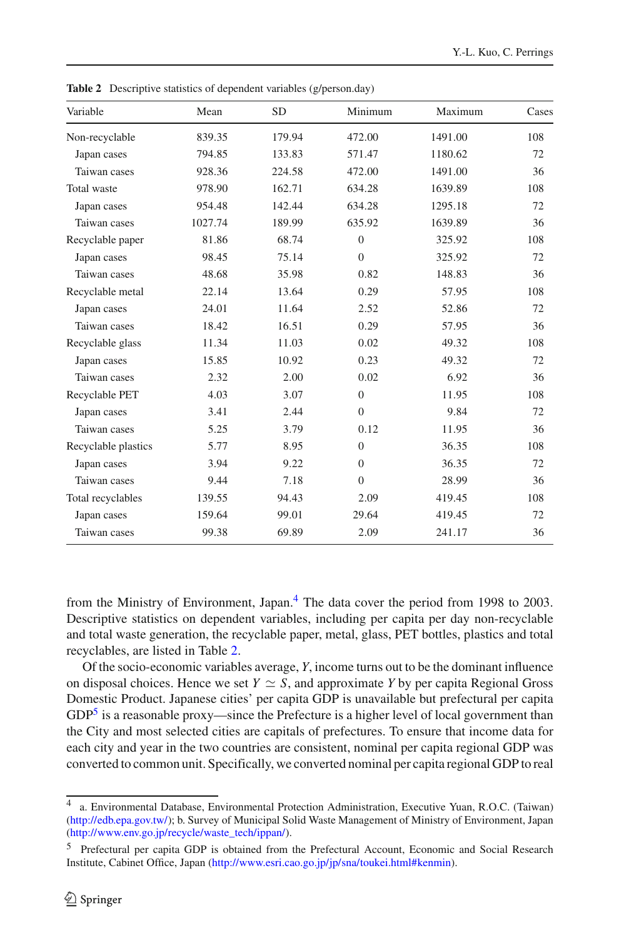<span id="page-7-1"></span>

| Variable            | Mean    | <b>SD</b> | Minimum          | Maximum | Cases |
|---------------------|---------|-----------|------------------|---------|-------|
| Non-recyclable      | 839.35  | 179.94    | 472.00           | 1491.00 | 108   |
| Japan cases         | 794.85  | 133.83    | 571.47           | 1180.62 | 72    |
| Taiwan cases        | 928.36  | 224.58    | 472.00           | 1491.00 | 36    |
| Total waste         | 978.90  | 162.71    | 634.28           | 1639.89 | 108   |
| Japan cases         | 954.48  | 142.44    | 634.28           | 1295.18 | 72    |
| Taiwan cases        | 1027.74 | 189.99    | 635.92           | 1639.89 | 36    |
| Recyclable paper    | 81.86   | 68.74     | $\boldsymbol{0}$ | 325.92  | 108   |
| Japan cases         | 98.45   | 75.14     | $\overline{0}$   | 325.92  | 72    |
| Taiwan cases        | 48.68   | 35.98     | 0.82             | 148.83  | 36    |
| Recyclable metal    | 22.14   | 13.64     | 0.29             | 57.95   | 108   |
| Japan cases         | 24.01   | 11.64     | 2.52             | 52.86   | 72    |
| Taiwan cases        | 18.42   | 16.51     | 0.29             | 57.95   | 36    |
| Recyclable glass    | 11.34   | 11.03     | 0.02             | 49.32   | 108   |
| Japan cases         | 15.85   | 10.92     | 0.23             | 49.32   | 72    |
| Taiwan cases        | 2.32    | 2.00      | 0.02             | 6.92    | 36    |
| Recyclable PET      | 4.03    | 3.07      | $\overline{0}$   | 11.95   | 108   |
| Japan cases         | 3.41    | 2.44      | $\overline{0}$   | 9.84    | 72    |
| Taiwan cases        | 5.25    | 3.79      | 0.12             | 11.95   | 36    |
| Recyclable plastics | 5.77    | 8.95      | $\mathbf{0}$     | 36.35   | 108   |
| Japan cases         | 3.94    | 9.22      | $\mathbf{0}$     | 36.35   | 72    |
| Taiwan cases        | 9.44    | 7.18      | $\overline{0}$   | 28.99   | 36    |
| Total recyclables   | 139.55  | 94.43     | 2.09             | 419.45  | 108   |
| Japan cases         | 159.64  | 99.01     | 29.64            | 419.45  | 72    |
| Taiwan cases        | 99.38   | 69.89     | 2.09             | 241.17  | 36    |

**Table 2** Descriptive statistics of dependent variables (g/person.day)

from the Ministry of Environment, Japan.<sup>[4](#page-7-0)</sup> The data cover the period from 1998 to 2003. Descriptive statistics on dependent variables, including per capita per day non-recyclable and total waste generation, the recyclable paper, metal, glass, PET bottles, plastics and total recyclables, are listed in Table [2.](#page-7-1)

Of the socio-economic variables average, *Y*, income turns out to be the dominant influence on disposal choices. Hence we set  $Y \simeq S$ , and approximate *Y* by per capita Regional Gross Domestic Product. Japanese cities' per capita GDP is unavailable but prefectural per capita  $GDP<sup>5</sup>$  is a reasonable proxy—since the Prefecture is a higher level of local government than the City and most selected cities are capitals of prefectures. To ensure that income data for each city and year in the two countries are consistent, nominal per capita regional GDP was converted to common unit. Specifically, we converted nominal per capita regional GDP to real

<span id="page-7-0"></span><sup>4</sup> a. Environmental Database, Environmental Protection Administration, Executive Yuan, R.O.C. (Taiwan) [\(http://edb.epa.gov.tw/\)](http://edb.epa.gov.tw/); b. Survey of Municipal Solid Waste Management of Ministry of Environment, Japan [\(http://www.env.go.jp/recycle/waste\\_tech/ippan/\)](http://www.env.go.jp/recycle/waste_tech/ippan/).

<span id="page-7-2"></span><sup>5</sup> Prefectural per capita GDP is obtained from the Prefectural Account, Economic and Social Research Institute, Cabinet Office, Japan [\(http://www.esri.cao.go.jp/jp/sna/toukei.html#kenmin\)](http://www.esri.cao.go.jp/jp/sna/toukei.html#kenmin).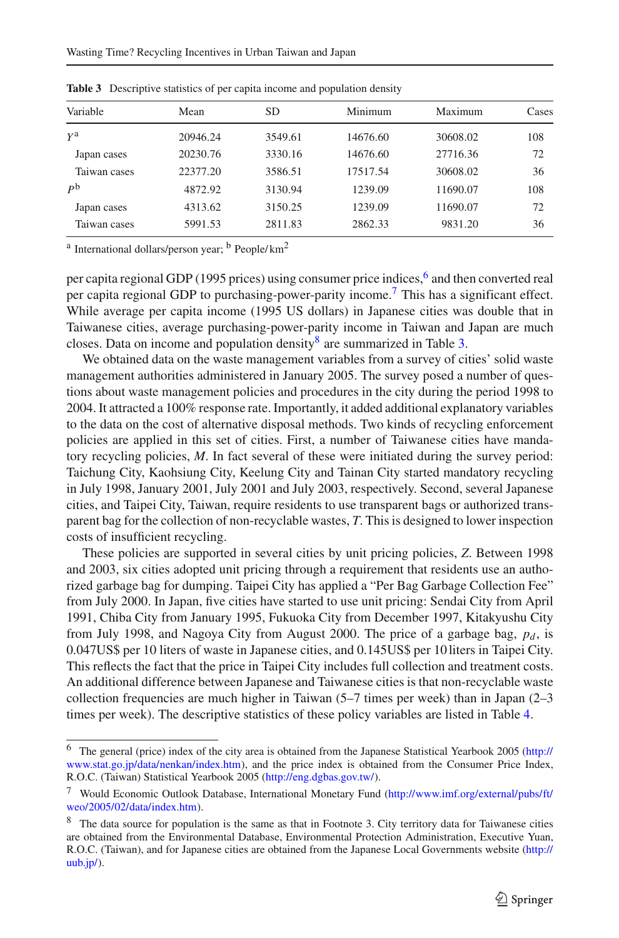<span id="page-8-3"></span>

| Variable     | Mean     | SD      | Minimum  | Maximum  | Cases |
|--------------|----------|---------|----------|----------|-------|
| ya           | 20946.24 | 3549.61 | 14676.60 | 30608.02 | 108   |
| Japan cases  | 20230.76 | 3330.16 | 14676.60 | 27716.36 | 72    |
| Taiwan cases | 22377.20 | 3586.51 | 17517.54 | 30608.02 | 36    |
| $P^{\rm b}$  | 4872.92  | 3130.94 | 1239.09  | 11690.07 | 108   |
| Japan cases  | 4313.62  | 3150.25 | 1239.09  | 11690.07 | 72    |
| Taiwan cases | 5991.53  | 2811.83 | 2862.33  | 9831.20  | 36    |

**Table 3** Descriptive statistics of per capita income and population density

<sup>a</sup> International dollars/person year; <sup>b</sup> People/ $km^2$ 

per capita regional GDP (1995 prices) using consumer price indices,<sup>6</sup> and then converted real per capita regional GDP to purchasing-power-parity income[.7](#page-8-1) This has a significant effect. While average per capita income (1995 US dollars) in Japanese cities was double that in Taiwanese cities, average purchasing-power-parity income in Taiwan and Japan are much closes. Data on income and population density<sup>[8](#page-8-2)</sup> are summarized in Table [3.](#page-8-3)

We obtained data on the waste management variables from a survey of cities' solid waste management authorities administered in January 2005. The survey posed a number of questions about waste management policies and procedures in the city during the period 1998 to 2004. It attracted a 100% response rate. Importantly, it added additional explanatory variables to the data on the cost of alternative disposal methods. Two kinds of recycling enforcement policies are applied in this set of cities. First, a number of Taiwanese cities have mandatory recycling policies, *M*. In fact several of these were initiated during the survey period: Taichung City, Kaohsiung City, Keelung City and Tainan City started mandatory recycling in July 1998, January 2001, July 2001 and July 2003, respectively. Second, several Japanese cities, and Taipei City, Taiwan, require residents to use transparent bags or authorized transparent bag for the collection of non-recyclable wastes, *T*. This is designed to lower inspection costs of insufficient recycling.

These policies are supported in several cities by unit pricing policies, *Z*. Between 1998 and 2003, six cities adopted unit pricing through a requirement that residents use an authorized garbage bag for dumping. Taipei City has applied a "Per Bag Garbage Collection Fee" from July 2000. In Japan, five cities have started to use unit pricing: Sendai City from April 1991, Chiba City from January 1995, Fukuoka City from December 1997, Kitakyushu City from July 1998, and Nagoya City from August 2000. The price of a garbage bag,  $p_d$ , is 0.047US\$ per 10 liters of waste in Japanese cities, and 0.145US\$ per 10liters in Taipei City. This reflects the fact that the price in Taipei City includes full collection and treatment costs. An additional difference between Japanese and Taiwanese cities is that non-recyclable waste collection frequencies are much higher in Taiwan (5–7 times per week) than in Japan (2–3 times per week). The descriptive statistics of these policy variables are listed in Table [4.](#page-9-0)

<span id="page-8-0"></span><sup>6</sup> The general (price) index of the city area is obtained from the Japanese Statistical Yearbook 2005 [\(http://](http://www.stat.go.jp/data/nenkan/index.htm) [www.stat.go.jp/data/nenkan/index.htm\)](http://www.stat.go.jp/data/nenkan/index.htm), and the price index is obtained from the Consumer Price Index, R.O.C. (Taiwan) Statistical Yearbook 2005 [\(http://eng.dgbas.gov.tw/\)](http://eng.dgbas.gov.tw/).

<sup>7</sup> Would Economic Outlook Database, International Monetary Fund [\(http://www.imf.org/external/pubs/ft/](http://www.imf.org/external/pubs/ft/weo/2005/02/data/index.htm) [weo/2005/02/data/index.htm\)](http://www.imf.org/external/pubs/ft/weo/2005/02/data/index.htm).

<span id="page-8-2"></span><span id="page-8-1"></span><sup>&</sup>lt;sup>8</sup> The data source for population is the same as that in Footnote 3. City territory data for Taiwanese cities are obtained from the Environmental Database, Environmental Protection Administration, Executive Yuan, R.O.C. (Taiwan), and for Japanese cities are obtained from the Japanese Local Governments website [\(http://](http://uub.jp/) [uub.jp/\)](http://uub.jp/).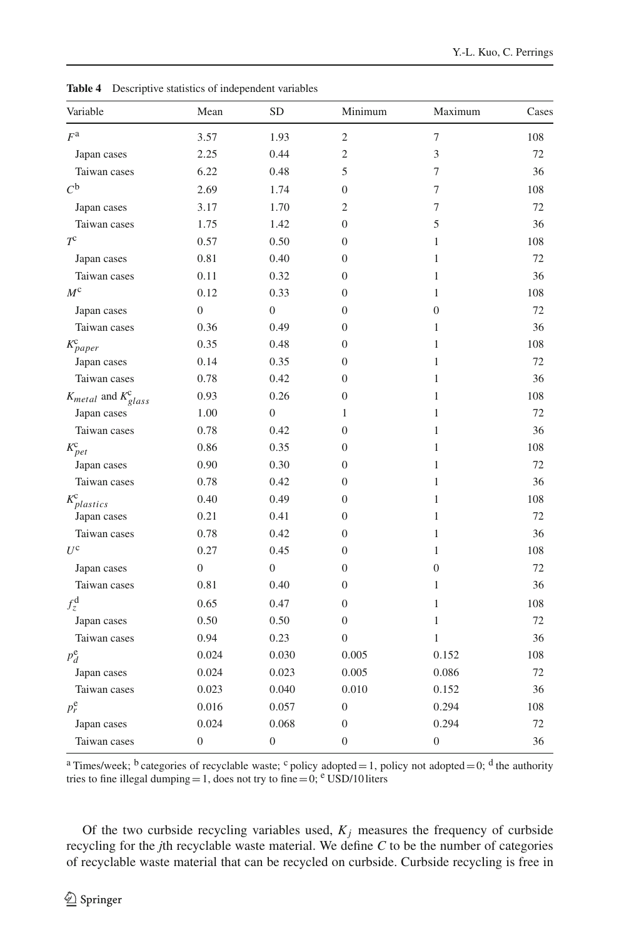<span id="page-9-0"></span>

| Variable                      | Mean             | <b>SD</b>        | Minimum          | Maximum          | Cases |
|-------------------------------|------------------|------------------|------------------|------------------|-------|
| $F^{\rm a}$                   | 3.57             | 1.93             | $\overline{c}$   | $\tau$           | 108   |
| Japan cases                   | 2.25             | 0.44             | $\overline{c}$   | 3                | 72    |
| Taiwan cases                  | 6.22             | 0.48             | 5                | 7                | 36    |
| $C^{\mathfrak{b}}$            | 2.69             | 1.74             | $\boldsymbol{0}$ | 7                | 108   |
| Japan cases                   | 3.17             | 1.70             | $\overline{2}$   | 7                | 72    |
| Taiwan cases                  | 1.75             | 1.42             | $\boldsymbol{0}$ | 5                | 36    |
| $T^{\rm c}$                   | 0.57             | 0.50             | 0                | 1                | 108   |
| Japan cases                   | 0.81             | 0.40             | $\overline{0}$   | 1                | 72    |
| Taiwan cases                  | 0.11             | 0.32             | 0                | 1                | 36    |
| $M^{\text{c}}$                | 0.12             | 0.33             | $\overline{0}$   | 1                | 108   |
| Japan cases                   | $\boldsymbol{0}$ | $\boldsymbol{0}$ | 0                | $\mathbf{0}$     | 72    |
| Taiwan cases                  | 0.36             | 0.49             | $\overline{0}$   | 1                | 36    |
| $K_{paper}^{\rm c}$           | 0.35             | 0.48             | 0                | 1                | 108   |
| Japan cases                   | 0.14             | 0.35             | 0                | 1                | 72    |
| Taiwan cases                  | 0.78             | 0.42             | $\overline{0}$   | 1                | 36    |
| $K_{metal}$ and $K_{glass}^c$ | 0.93             | 0.26             | 0                | $\mathbf{1}$     | 108   |
| Japan cases                   | 1.00             | $\boldsymbol{0}$ | 1                | 1                | 72    |
| Taiwan cases                  | 0.78             | 0.42             | 0                | 1                | 36    |
| $K_{pet}^c$                   | 0.86             | 0.35             | 0                | 1                | 108   |
| Japan cases                   | 0.90             | 0.30             | 0                | 1                | 72    |
| Taiwan cases                  | 0.78             | 0.42             | 0                | 1                | 36    |
| $K_{plastics}^{c}$            | 0.40             | 0.49             | $\overline{0}$   | 1                | 108   |
| Japan cases                   | 0.21             | 0.41             | 0                | 1                | 72    |
| Taiwan cases                  | 0.78             | 0.42             | 0                | 1                | 36    |
| $U^{\text{c}}$                | 0.27             | 0.45             | 0                | 1                | 108   |
| Japan cases                   | $\boldsymbol{0}$ | $\boldsymbol{0}$ | 0                | $\boldsymbol{0}$ | 72    |
| Taiwan cases                  | 0.81             | 0.40             | 0                | $\mathbf{1}$     | 36    |
| $f_z^{\rm d}$                 | 0.65             | 0.47             | $\overline{0}$   | $\mathbf{1}$     | 108   |
| Japan cases                   | 0.50             | 0.50             | $\boldsymbol{0}$ | 1                | 72    |
| Taiwan cases                  | 0.94             | 0.23             | $\boldsymbol{0}$ | 1                | 36    |
| $p_d^e$                       | 0.024            | 0.030            | 0.005            | 0.152            | 108   |
| Japan cases                   | 0.024            | 0.023            | 0.005            | 0.086            | 72    |
| Taiwan cases                  | 0.023            | 0.040            | 0.010            | 0.152            | 36    |
| $p_r^e$                       | 0.016            | 0.057            | $\boldsymbol{0}$ | 0.294            | 108   |
| Japan cases                   | 0.024            | 0.068            | 0                | 0.294            | 72    |
| Taiwan cases                  | 0                | $\boldsymbol{0}$ | $\boldsymbol{0}$ | $\boldsymbol{0}$ | 36    |

**Table 4** Descriptive statistics of independent variables

<sup>a</sup> Times/week; <sup>b</sup> categories of recyclable waste; <sup>c</sup> policy adopted = 1, policy not adopted = 0; <sup>d</sup> the authority tries to fine illegal dumping = 1, does not try to fine = 0; e USD/10 liters

Of the two curbside recycling variables used,  $K_j$  measures the frequency of curbside recycling for the *j*th recyclable waste material. We define *C* to be the number of categories of recyclable waste material that can be recycled on curbside. Curbside recycling is free in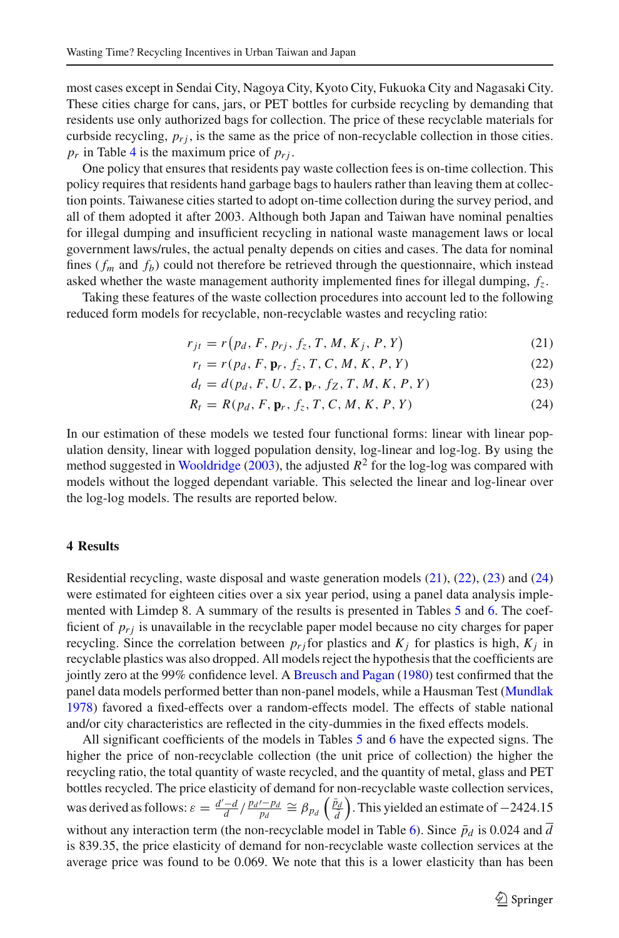most cases except in Sendai City, Nagoya City, Kyoto City, Fukuoka City and Nagasaki City. These cities charge for cans, jars, or PET bottles for curbside recycling by demanding that residents use only authorized bags for collection. The price of these recyclable materials for curbside recycling,  $p_{ri}$ , is the same as the price of non-recyclable collection in those cities.  $p_r$  in Table [4](#page-9-0) is the maximum price of  $p_{rj}$ .

One policy that ensures that residents pay waste collection fees is on-time collection. This policy requires that residents hand garbage bags to haulers rather than leaving them at collection points. Taiwanese cities started to adopt on-time collection during the survey period, and all of them adopted it after 2003. Although both Japan and Taiwan have nominal penalties for illegal dumping and insufficient recycling in national waste management laws or local government laws/rules, the actual penalty depends on cities and cases. The data for nominal fines ( $f_m$  and  $f_b$ ) could not therefore be retrieved through the questionnaire, which instead asked whether the waste management authority implemented fines for illegal dumping, *fz*.

<span id="page-10-0"></span>Taking these features of the waste collection procedures into account led to the following reduced form models for recyclable, non-recyclable wastes and recycling ratio:

$$
r_{jt} = r(p_d, F, p_{rj}, f_z, T, M, K_j, P, Y)
$$
\n(21)

$$
r_t = r(p_d, F, \mathbf{p}_r, f_z, T, C, M, K, P, Y)
$$
 (22)

$$
d_t = d(p_d, F, U, Z, \mathbf{p}_r, f_Z, T, M, K, P, Y)
$$
\n(23)

$$
R_t = R(p_d, F, \mathbf{p}_r, f_z, T, C, M, K, P, Y)
$$
 (24)

In our estimation of these models we tested four functional forms: linear with linear population density, linear with logged population density, log-linear and log-log. By using the method suggested in [Wooldridge](#page-14-23) [\(2003](#page-14-23)), the adjusted  $R^2$  for the log-log was compared with models without the logged dependant variable. This selected the linear and log-linear over the log-log models. The results are reported below.

#### **4 Results**

Residential recycling, waste disposal and waste generation models [\(21\)](#page-10-0), [\(22\)](#page-10-0), [\(23\)](#page-10-0) and [\(24\)](#page-10-0) were estimated for eighteen cities over a six year period, using a panel data analysis implemented with Limdep 8. A summary of the results is presented in Tables [5](#page-11-0) and [6.](#page-12-0) The coefficient of  $p_{ri}$  is unavailable in the recyclable paper model because no city charges for paper recycling. Since the correlation between  $p_{r,i}$  for plastics and  $K_i$  for plastics is high,  $K_i$  in recyclable plastics was also dropped. All models reject the hypothesis that the coefficients are jointly zero at the 99% confidence level. A [Breusch and Pagan](#page-13-5) [\(1980](#page-13-5)) test confirmed that the panel data models performed better than non-panel models, while a Hausman Test [\(Mundlak](#page-14-24) [1978](#page-14-24)) favored a fixed-effects over a random-effects model. The effects of stable national and/or city characteristics are reflected in the city-dummies in the fixed effects models.

All significant coefficients of the models in Tables [5](#page-11-0) and [6](#page-12-0) have the expected signs. The higher the price of non-recyclable collection (the unit price of collection) the higher the recycling ratio, the total quantity of waste recycled, and the quantity of metal, glass and PET bottles recycled. The price elasticity of demand for non-recyclable waste collection services, was derived as follows:  $\varepsilon = \frac{d'-d}{d} / \frac{p_d'-p_d}{p_d} \cong \beta_{p_d} \left( \frac{\bar{p}_d}{\bar{d}} \right)$ ) . This yielded an estimate of −2424.15 without any interaction term (the non-recyclable model in Table [6\)](#page-12-0). Since  $\bar{p}_d$  is 0.024 and  $\bar{d}$ is 839.35, the price elasticity of demand for non-recyclable waste collection services at the average price was found to be 0.069. We note that this is a lower elasticity than has been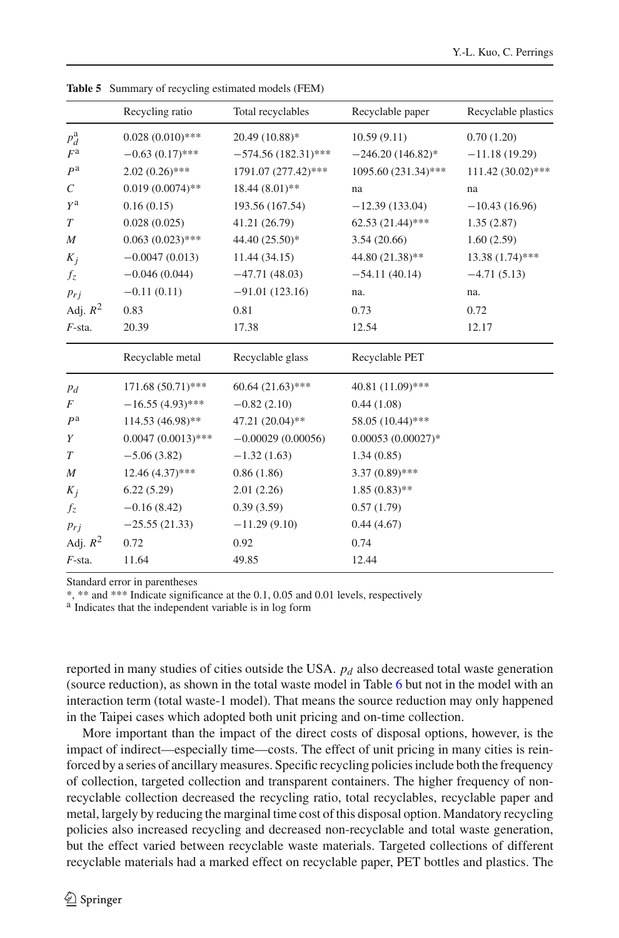<span id="page-11-0"></span>

|                       | Recycling ratio      | Total recyclables     | Recyclable paper    | Recyclable plastics |
|-----------------------|----------------------|-----------------------|---------------------|---------------------|
| $p_d^a$               | $0.028(0.010)$ ***   | 20.49 (10.88)*        | 10.59(9.11)         | 0.70(1.20)          |
| F <sup>a</sup>        | $-0.63(0.17)$ ***    | $-574.56(182.31)$ *** | $-246.20(146.82)$ * | $-11.18(19.29)$     |
| P <sup>a</sup>        | $2.02(0.26)$ ***     | 1791.07 (277.42)***   | 1095.60 (231.34)*** | 111.42 (30.02)***   |
| $\mathcal{C}_{0}^{0}$ | $0.019(0.0074)$ **   | 18.44 (8.01)**        | na                  | na                  |
| $Y^{\text{a}}$        | 0.16(0.15)           | 193.56 (167.54)       | $-12.39(133.04)$    | $-10.43(16.96)$     |
| $\boldsymbol{T}$      | 0.028(0.025)         | 41.21 (26.79)         | $62.53(21.44)$ ***  | 1.35(2.87)          |
| $\boldsymbol{M}$      | $0.063(0.023)$ ***   | 44.40 (25.50)*        | 3.54(20.66)         | 1.60(2.59)          |
| $K_j$                 | $-0.0047(0.013)$     | 11.44 (34.15)         | 44.80 (21.38)**     | $13.38(1.74)$ ***   |
| $f_z$                 | $-0.046(0.044)$      | $-47.71(48.03)$       | $-54.11(40.14)$     | $-4.71(5.13)$       |
| $p_{r,i}$             | $-0.11(0.11)$        | $-91.01(123.16)$      | na.                 | na.                 |
| Adj. $R^2$            | 0.83                 | 0.81                  | 0.73                | 0.72                |
| $F$ -sta.             | 20.39                | 17.38                 | 12.54               | 12.17               |
|                       | Recyclable metal     | Recyclable glass      | Recyclable PET      |                     |
| $p_d$                 | 171.68 (50.71)***    | $60.64(21.63)$ ***    | 40.81 (11.09)***    |                     |
| F                     | $-16.55(4.93)$ ***   | $-0.82(2.10)$         | 0.44(1.08)          |                     |
| P <sup>a</sup>        | 114.53 (46.98)**     | 47.21 (20.04)**       | 58.05 (10.44)***    |                     |
| Y                     | $0.0047(0.0013)$ *** | $-0.00029(0.00056)$   | $0.00053(0.00027)*$ |                     |
| T                     | $-5.06(3.82)$        | $-1.32(1.63)$         | 1.34(0.85)          |                     |
| M                     | $12.46(4.37)$ ***    | 0.86(1.86)            | $3.37(0.89)$ ***    |                     |
| $K_i$                 | 6.22(5.29)           | 2.01(2.26)            | $1.85(0.83)$ **     |                     |
| $f_z$                 | $-0.16(8.42)$        | 0.39(3.59)            | 0.57(1.79)          |                     |
| $p_{r,i}$             | $-25.55(21.33)$      | $-11.29(9.10)$        | 0.44(4.67)          |                     |
| Adj. $R^2$            | 0.72                 | 0.92                  | 0.74                |                     |
| $F$ -sta.             | 11.64                | 49.85                 | 12.44               |                     |

**Table 5** Summary of recycling estimated models (FEM)

Standard error in parentheses

\*, \*\* and \*\*\* Indicate significance at the 0.1, 0.05 and 0.01 levels, respectively

<sup>a</sup> Indicates that the independent variable is in log form

reported in many studies of cities outside the USA.  $p_d$  also decreased total waste generation (source reduction), as shown in the total waste model in Table [6](#page-12-0) but not in the model with an interaction term (total waste-1 model). That means the source reduction may only happened in the Taipei cases which adopted both unit pricing and on-time collection.

More important than the impact of the direct costs of disposal options, however, is the impact of indirect—especially time—costs. The effect of unit pricing in many cities is reinforced by a series of ancillary measures. Specific recycling policies include both the frequency of collection, targeted collection and transparent containers. The higher frequency of nonrecyclable collection decreased the recycling ratio, total recyclables, recyclable paper and metal, largely by reducing the marginal time cost of this disposal option. Mandatory recycling policies also increased recycling and decreased non-recyclable and total waste generation, but the effect varied between recyclable waste materials. Targeted collections of different recyclable materials had a marked effect on recyclable paper, PET bottles and plastics. The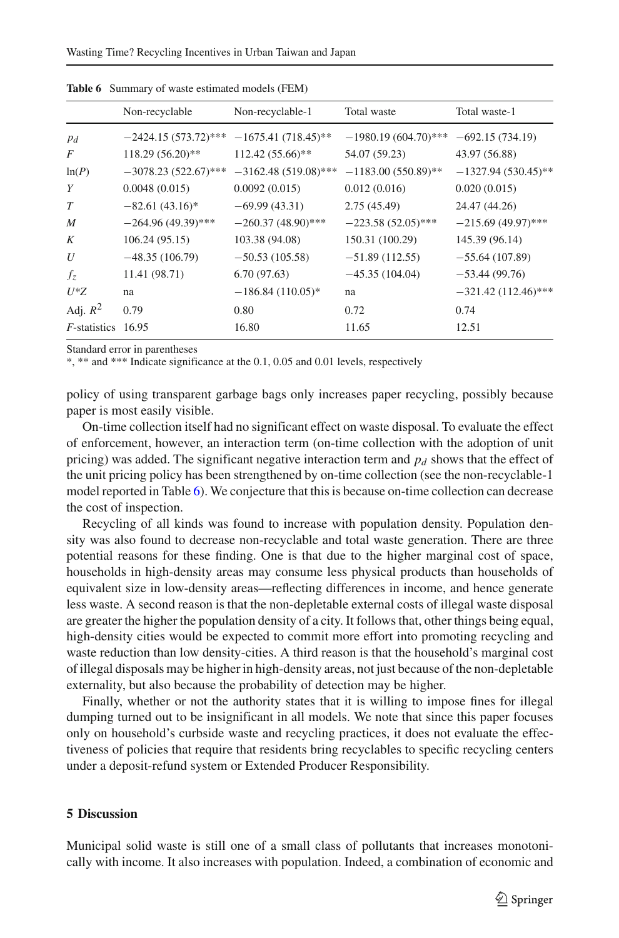<span id="page-12-0"></span>

|                      | Non-recyclable         | Non-recyclable-1       | Total waste            | Total waste-1         |
|----------------------|------------------------|------------------------|------------------------|-----------------------|
| $p_d$                | $-2424.15(573.72)$ *** | $-1675.41(718.45)$ **  | $-1980.19(604.70)$ *** | $-692.15(734.19)$     |
| F                    | 118.29 (56.20)**       | 112.42 (55.66)**       | 54.07 (59.23)          | 43.97 (56.88)         |
| ln(P)                | $-3078.23(522.67)$ *** | $-3162.48(519.08)$ *** | $-1183.00(550.89)$ **  | $-1327.94(530.45)$ ** |
| Y                    | 0.0048(0.015)          | 0.0092(0.015)          | 0.012(0.016)           | 0.020(0.015)          |
| $\tau$               | $-82.61(43.16)^*$      | $-69.99(43.31)$        | 2.75(45.49)            | 24.47 (44.26)         |
| $\boldsymbol{M}$     | $-264.96(49.39)$ ***   | $-260.37(48.90)$ ***   | $-223.58(52.05)$ ***   | $-215.69(49.97)$ ***  |
| K                    | 106.24(95.15)          | 103.38 (94.08)         | 150.31 (100.29)        | 145.39 (96.14)        |
| U                    | $-48.35(106.79)$       | $-50.53(105.58)$       | $-51.89(112.55)$       | $-55.64(107.89)$      |
| $f_z$                | 11.41 (98.71)          | 6.70(97.63)            | $-45.35(104.04)$       | $-53.44(99.76)$       |
| $U^*Z$               | na                     | $-186.84(110.05)^{*}$  | na                     | $-321.42(112.46)$ *** |
| Adj. $R^2$           | 0.79                   | 0.80                   | 0.72                   | 0.74                  |
| <i>F</i> -statistics | 16.95                  | 16.80                  | 11.65                  | 12.51                 |
|                      |                        |                        |                        |                       |

**Table 6** Summary of waste estimated models (FEM)

Standard error in parentheses

\*, \*\* and \*\*\* Indicate significance at the 0.1, 0.05 and 0.01 levels, respectively

policy of using transparent garbage bags only increases paper recycling, possibly because paper is most easily visible.

On-time collection itself had no significant effect on waste disposal. To evaluate the effect of enforcement, however, an interaction term (on-time collection with the adoption of unit pricing) was added. The significant negative interaction term and  $p_d$  shows that the effect of the unit pricing policy has been strengthened by on-time collection (see the non-recyclable-1 model reported in Table [6\)](#page-12-0). We conjecture that this is because on-time collection can decrease the cost of inspection.

Recycling of all kinds was found to increase with population density. Population density was also found to decrease non-recyclable and total waste generation. There are three potential reasons for these finding. One is that due to the higher marginal cost of space, households in high-density areas may consume less physical products than households of equivalent size in low-density areas—reflecting differences in income, and hence generate less waste. A second reason is that the non-depletable external costs of illegal waste disposal are greater the higher the population density of a city. It follows that, other things being equal, high-density cities would be expected to commit more effort into promoting recycling and waste reduction than low density-cities. A third reason is that the household's marginal cost of illegal disposals may be higher in high-density areas, not just because of the non-depletable externality, but also because the probability of detection may be higher.

Finally, whether or not the authority states that it is willing to impose fines for illegal dumping turned out to be insignificant in all models. We note that since this paper focuses only on household's curbside waste and recycling practices, it does not evaluate the effectiveness of policies that require that residents bring recyclables to specific recycling centers under a deposit-refund system or Extended Producer Responsibility.

#### **5 Discussion**

Municipal solid waste is still one of a small class of pollutants that increases monotonically with income. It also increases with population. Indeed, a combination of economic and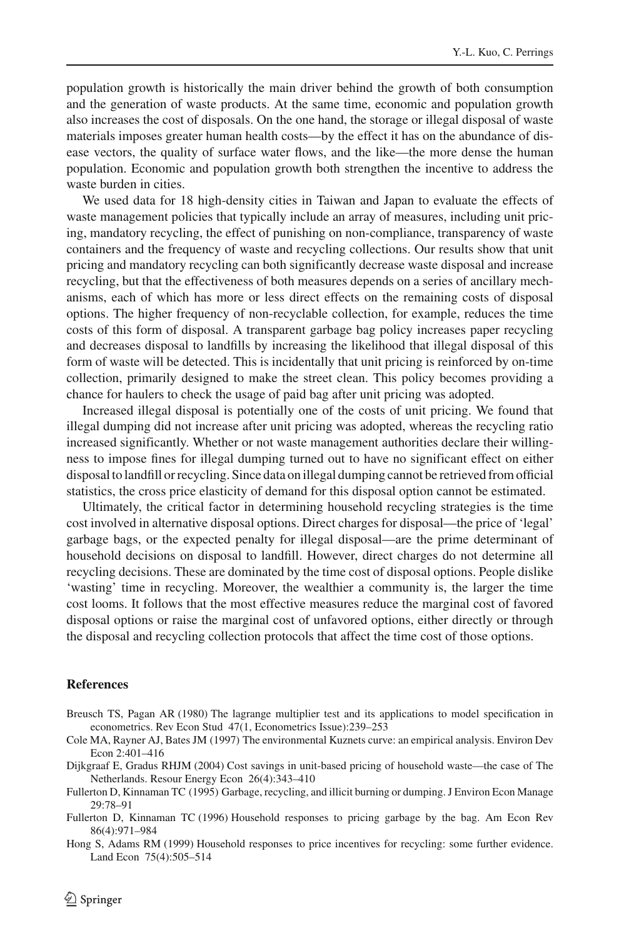population growth is historically the main driver behind the growth of both consumption and the generation of waste products. At the same time, economic and population growth also increases the cost of disposals. On the one hand, the storage or illegal disposal of waste materials imposes greater human health costs—by the effect it has on the abundance of disease vectors, the quality of surface water flows, and the like—the more dense the human population. Economic and population growth both strengthen the incentive to address the waste burden in cities.

We used data for 18 high-density cities in Taiwan and Japan to evaluate the effects of waste management policies that typically include an array of measures, including unit pricing, mandatory recycling, the effect of punishing on non-compliance, transparency of waste containers and the frequency of waste and recycling collections. Our results show that unit pricing and mandatory recycling can both significantly decrease waste disposal and increase recycling, but that the effectiveness of both measures depends on a series of ancillary mechanisms, each of which has more or less direct effects on the remaining costs of disposal options. The higher frequency of non-recyclable collection, for example, reduces the time costs of this form of disposal. A transparent garbage bag policy increases paper recycling and decreases disposal to landfills by increasing the likelihood that illegal disposal of this form of waste will be detected. This is incidentally that unit pricing is reinforced by on-time collection, primarily designed to make the street clean. This policy becomes providing a chance for haulers to check the usage of paid bag after unit pricing was adopted.

Increased illegal disposal is potentially one of the costs of unit pricing. We found that illegal dumping did not increase after unit pricing was adopted, whereas the recycling ratio increased significantly. Whether or not waste management authorities declare their willingness to impose fines for illegal dumping turned out to have no significant effect on either disposal to landfill or recycling. Since data on illegal dumping cannot be retrieved from official statistics, the cross price elasticity of demand for this disposal option cannot be estimated.

Ultimately, the critical factor in determining household recycling strategies is the time cost involved in alternative disposal options. Direct charges for disposal—the price of 'legal' garbage bags, or the expected penalty for illegal disposal—are the prime determinant of household decisions on disposal to landfill. However, direct charges do not determine all recycling decisions. These are dominated by the time cost of disposal options. People dislike 'wasting' time in recycling. Moreover, the wealthier a community is, the larger the time cost looms. It follows that the most effective measures reduce the marginal cost of favored disposal options or raise the marginal cost of unfavored options, either directly or through the disposal and recycling collection protocols that affect the time cost of those options.

#### **References**

- <span id="page-13-5"></span>Breusch TS, Pagan AR (1980) The lagrange multiplier test and its applications to model specification in econometrics. Rev Econ Stud 47(1, Econometrics Issue):239–253
- <span id="page-13-0"></span>Cole MA, Rayner AJ, Bates JM (1997) The environmental Kuznets curve: an empirical analysis. Environ Dev Econ 2:401–416
- <span id="page-13-1"></span>Dijkgraaf E, Gradus RHJM (2004) Cost savings in unit-based pricing of household waste—the case of The Netherlands. Resour Energy Econ 26(4):343–410
- <span id="page-13-4"></span>Fullerton D, Kinnaman TC (1995) Garbage, recycling, and illicit burning or dumping. J Environ Econ Manage 29:78–91
- <span id="page-13-2"></span>Fullerton D, Kinnaman TC (1996) Household responses to pricing garbage by the bag. Am Econ Rev 86(4):971–984
- <span id="page-13-3"></span>Hong S, Adams RM (1999) Household responses to price incentives for recycling: some further evidence. Land Econ 75(4):505–514